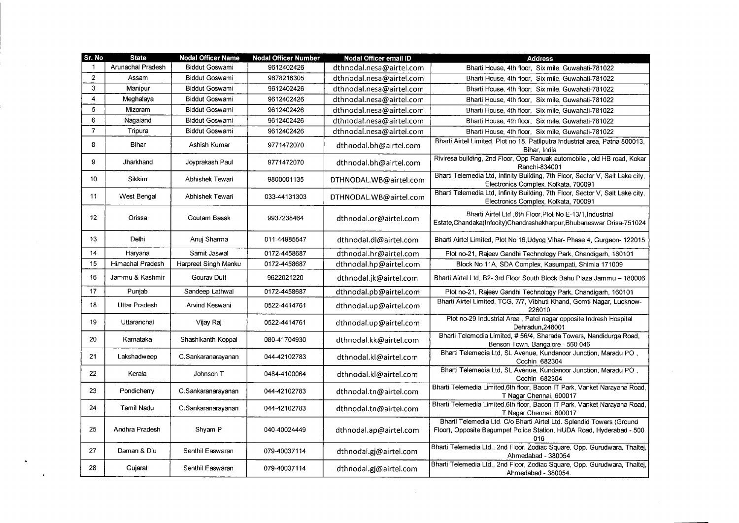| Sr. No         | <b>State</b>      | <b>Nodal Officer Name</b> | <b>Nodal Officer Number</b> | Nodal Officer email ID   | <b>Address</b>                                                                                                                                      |
|----------------|-------------------|---------------------------|-----------------------------|--------------------------|-----------------------------------------------------------------------------------------------------------------------------------------------------|
|                | Arunachal Pradesh | <b>Biddut Goswami</b>     | 9612402426                  | dthnodal.nesa@airtel.com | Bharti House, 4th floor, Six mile, Guwahati-781022                                                                                                  |
| $\overline{2}$ | Assam             | <b>Biddut Goswami</b>     | 9678216305                  | dthnodal.nesa@airtel.com | Bharti House, 4th floor, Six mile, Guwahati-781022                                                                                                  |
| 3              | Manipur           | <b>Biddut Goswami</b>     | 9612402426                  | dthnodal.nesa@airtel.com | Bharti House, 4th floor, Six mile, Guwahati-781022                                                                                                  |
| 4              | Meghalaya         | <b>Biddut Goswami</b>     | 9612402426                  | dthnodal.nesa@airtel.com | Bharti House, 4th floor, Six mile, Guwahati-781022                                                                                                  |
| 5              | Mizoram           | Biddut Goswami            | 9612402426                  | dthnodal.nesa@airtel.com | Bharti House, 4th floor, Six mile, Guwahati-781022                                                                                                  |
| 6              | Nagaland          | <b>Biddut Goswami</b>     | 9612402426                  | dthnodal.nesa@airtel.com | Bharti House, 4th floor, Six mile, Guwahati-781022                                                                                                  |
| $\overline{7}$ | Tripura           | <b>Biddut Goswami</b>     | 9612402426                  | dthnodal.nesa@airtel.com | Bharti House, 4th floor, Six mile, Guwahati-781022                                                                                                  |
| 8              | Bihar             | Ashish Kumar              | 9771472070                  | dthnodal.bh@airtel.com   | Bharti Airtel Limited, Plot no 18, Patliputra Industrial area, Patna 800013,<br>Bihar, India                                                        |
| 9              | Jharkhand         | Joyprakash Paul           | 9771472070                  | dthnodal.bh@airtel.com   | Riviresa building, 2nd Floor, Opp Ranuak automobile, old HB road, Kokar<br>Ranchi-834001                                                            |
| 10             | Sikkim            | Abhishek Tewari           | 9800001135                  | DTHNODAL.WB@airtel.com   | Bharti Telemedia Ltd, Infinity Building, 7th Floor, Sector V, Salt Lake city,<br>Electronics Complex, Kolkata, 700091                               |
| 11             | West Bengal       | Abhishek Tewari           | 033-44131303                | DTHNODAL.WB@airtel.com   | Bharti Telemedia Ltd, Infinity Building, 7th Floor, Sector V, Salt Lake city,<br>Electronics Complex, Kolkata, 700091                               |
| 12             | Orissa            | Goutam Basak              | 9937238464                  | dthnodal.or@airtel.com   | Bharti Airtel Ltd ,6th Floor,Plot No E-13/1, Industrial<br>Estate, Chandaka(Infocity) Chandrashekharpur, Bhubaneswar Orisa-751024                   |
| 13             | Delhi             | Anuj Sharma               | 011-44985547                | dthnodal.dl@airtel.com   | Bharti Airtel Limited, Plot No 16, Udyog Vihar- Phase 4, Gurgaon- 122015                                                                            |
| 14             | Haryana           | Samit Jaswal              | 0172-4458687                | dthnodal.hr@airtel.com   | Plot no-21, Rajeev Gandhi Technology Park, Chandigarh, 160101                                                                                       |
| 15             | Himachal Pradesh  | Harpreet Singh Manku      | 0172-4458687                | dthnodal.hp@airtel.com   | Block No 11A, SDA Complex, Kasumpati, Shimla 171009                                                                                                 |
| 16             | Jammu & Kashmir   | Gourav Dutt               | 9622021220                  | dthnodal.jk@airtel.com   | Bharti Airtel Ltd, B2-3rd Floor South Block Bahu Plaza Jammu - 180006                                                                               |
| 17             | Punjab            | Sandeep Lathwal           | 0172-4458687                | dthnodal.pb@airtel.com   | Plot no-21, Rajeev Gandhi Technology Park, Chandigarh, 160101                                                                                       |
| 18             | Uttar Pradesh     | Arvind Keswani            | 0522-4414761                | dthnodal.up@airtel.com   | Bharti Airtel Limited, TCG, 7/7, Vibhuti Khand, Gomti Nagar, Lucknow-<br>226010                                                                     |
| 19             | Uttaranchai       | Vijay Raj                 | 0522-4414761                | dthnodal.up@airtel.com   | Plot no-29 Industrial Area, Patel nagar opposite Indresh Hospital<br>Dehradun 248001                                                                |
| 20             | Karnataka         | Shashikanth Koppal        | 080-41704930                | dthnodal.kk@airtel.com   | Bharti Telemedia Limited, #56/4, Sharada Towers, Nandidurga Road,<br>Benson Town, Bangalore - 560 046                                               |
| 21             | Lakshadweep       | C.Sankaranarayanan        | 044-42102783                | dthnodal.kl@airtel.com   | Bharti Telemedia Ltd, SL Avenue, Kundanoor Junction, Maradu PO,<br>Cochin 682304                                                                    |
| 22             | Kerala            | Johnson T                 | 0484-4100064                | dthnodal.kl@airtel.com   | Bharti Telemedia Ltd, SL Avenue, Kundanoor Junction, Maradu PO,<br>Cochin 682304                                                                    |
| 23             | Pondicherry       | C.Sankaranarayanan        | 044-42102783                | dthnodal.tn@airtel.com   | Bharti Telemedia Limited, 6th floor, Bacon IT Park, Vanket Narayana Road,<br>T Nagar Chennai, 600017                                                |
| 24             | Tamil Nadu        | C.Sankaranarayanan        | 044-42102783                | dthnodal.tn@airtel.com   | Bharti Telemedia Limited, 6th floor, Bacon IT Park, Vanket Narayana Road,<br>T Nagar Chennai, 600017                                                |
| 25             | Andhra Pradesh    | Shyam P                   | 040-40024449                | dthnodal.ap@airtel.com   | Bharti Telemedia Ltd. C/o Bharti Airtel Ltd. Splendid Towers (Ground<br>Floor), Opposite Begumpet Police Station, HUDA Road, Hyderabad - 500<br>016 |
| 27             | Daman & Diu       | Senthil Easwaran          | 079-40037114                | dthnodal.gj@airtel.com   | Bharti Telemedia Ltd., 2nd Floor, Zodiac Square, Opp. Gurudwara, Thaltej,<br>Ahmedabad - 380054                                                     |
| 28             | Gujarat           | Senthil Easwaran          | 079-40037114                | dthnodal.gj@airtel.com   | Bharti Telemedia Ltd., 2nd Floor, Zodiac Square, Opp. Gurudwara, Thaltej,<br>Ahmedabad - 380054.                                                    |

 $\mathcal{L}(\mathcal{L}^{\mathcal{L}})$  and  $\mathcal{L}(\mathcal{L}^{\mathcal{L}})$  and  $\mathcal{L}(\mathcal{L}^{\mathcal{L}})$ 

 $\sim 10^{11}$  km  $^{-1}$ 

 $\bullet$  .